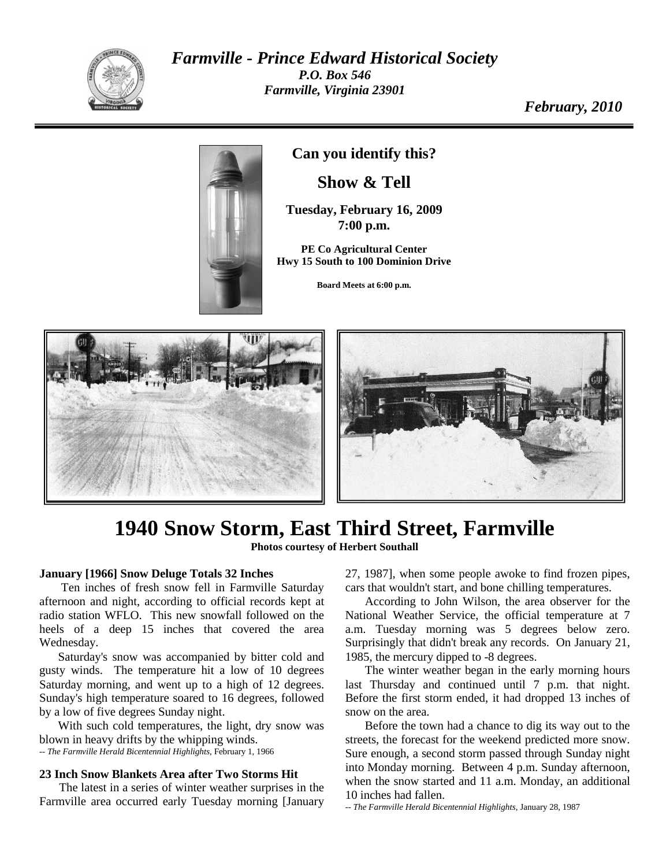

*Farmville - Prince Edward Historical Society P.O. Box 546 Farmville, Virginia 23901*

*February, 2010*



**Can you identify this?**

**Show & Tell**

**Tuesday, February 16, 2009 7:00 p.m.**

**PE Co Agricultural Center Hwy 15 South to 100 Dominion Drive**

**Board Meets at 6:00 p.m.**





## **1940 Snow Storm, East Third Street, Farmville**

**Photos courtesy of Herbert Southall**

## **January [1966] Snow Deluge Totals 32 Inches**

Ten inches of fresh snow fell in Farmville Saturday afternoon and night, according to official records kept at radio station WFLO. This new snowfall followed on the heels of a deep 15 inches that covered the area Wednesday.

Saturday's snow was accompanied by bitter cold and gusty winds. The temperature hit a low of 10 degrees Saturday morning, and went up to a high of 12 degrees. Sunday's high temperature soared to 16 degrees, followed by a low of five degrees Sunday night.

With such cold temperatures, the light, dry snow was blown in heavy drifts by the whipping winds. *-- The Farmville Herald Bicentennial Highlights*, February 1, 1966

## **23 Inch Snow Blankets Area after Two Storms Hit**

The latest in a series of winter weather surprises in the Farmville area occurred early Tuesday morning [January 27, 1987], when some people awoke to find frozen pipes, cars that wouldn't start, and bone chilling temperatures.

According to John Wilson, the area observer for the National Weather Service, the official temperature at 7 a.m. Tuesday morning was 5 degrees below zero. Surprisingly that didn't break any records. On January 21, 1985, the mercury dipped to -8 degrees.

The winter weather began in the early morning hours last Thursday and continued until 7 p.m. that night. Before the first storm ended, it had dropped 13 inches of snow on the area.

Before the town had a chance to dig its way out to the streets, the forecast for the weekend predicted more snow. Sure enough, a second storm passed through Sunday night into Monday morning. Between 4 p.m. Sunday afternoon, when the snow started and 11 a.m. Monday, an additional 10 inches had fallen.

*-- The Farmville Herald Bicentennial Highlights*, January 28, 1987